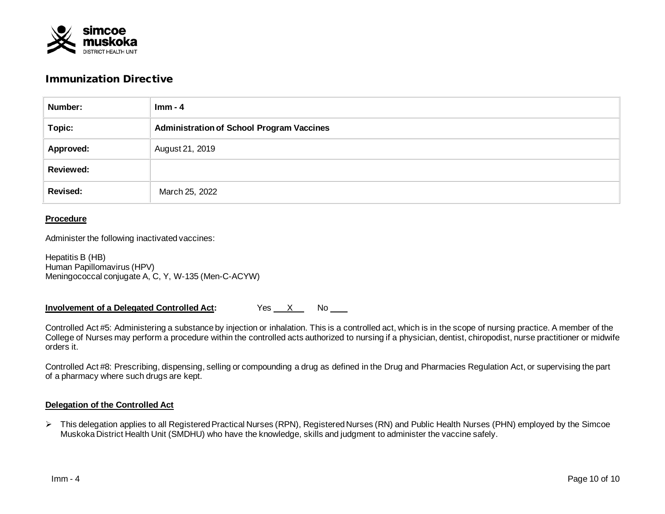

# Immunization Directive

| Number:          | $Imm - 4$                                        |  |  |  |
|------------------|--------------------------------------------------|--|--|--|
| Topic:           | <b>Administration of School Program Vaccines</b> |  |  |  |
| Approved:        | August 21, 2019                                  |  |  |  |
| <b>Reviewed:</b> |                                                  |  |  |  |
| <b>Revised:</b>  | March 25, 2022                                   |  |  |  |

#### **Procedure**

Administer the following inactivated vaccines:

Hepatitis B (HB) Human Papillomavirus (HPV) Meningococcal conjugate A, C, Y, W-135 (Men-C-ACYW)

**Involvement of a Delegated Controlled Act:** Yes X No

Controlled Act #5: Administering a substance by injection or inhalation. This is a controlled act, which is in the scope of nursing practice. A member of the College of Nurses may perform a procedure within the controlled acts authorized to nursing if a physician, dentist, chiropodist, nurse practitioner or midwife orders it.

Controlled Act #8: Prescribing, dispensing, selling or compounding a drug as defined in the Drug and Pharmacies Regulation Act, or supervising the part of a pharmacy where such drugs are kept.

#### **Delegation of the Controlled Act**

 This delegation applies to all Registered Practical Nurses (RPN), Registered Nurses (RN) and Public Health Nurses (PHN) employed by the Simcoe Muskoka District Health Unit (SMDHU) who have the knowledge, skills and judgment to administer the vaccine safely.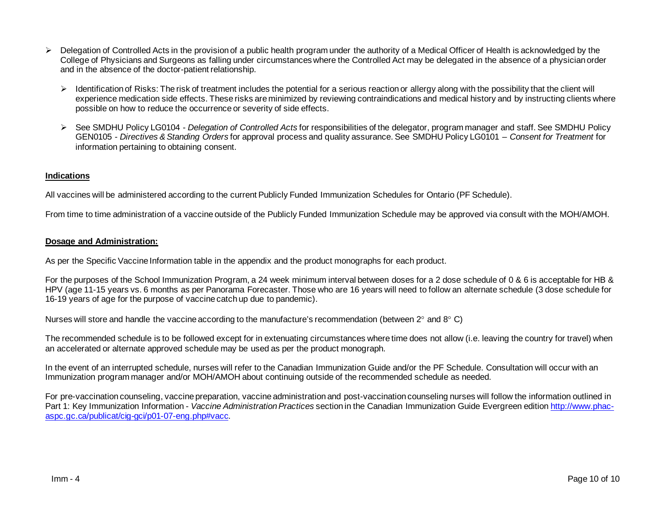- $\triangleright$  Delegation of Controlled Acts in the provision of a public health program under the authority of a Medical Officer of Health is acknowledged by the College of Physicians and Surgeons as falling under circumstances where the Controlled Act may be delegated in the absence of a physician order and in the absence of the doctor-patient relationship.
	- $\triangleright$  Identification of Risks: The risk of treatment includes the potential for a serious reaction or allergy along with the possibility that the client will experience medication side effects. These risks are minimized by reviewing contraindications and medical history and by instructing clients where possible on how to reduce the occurrence or severity of side effects.
	- See SMDHU Policy LG0104 *Delegation of Controlled Acts* for responsibilities of the delegator, program manager and staff. See SMDHU Policy GEN0105 - *Directives & Standing Orders* for approval process and quality assurance. See SMDHU Policy LG0101 – *Consent for Treatment* for information pertaining to obtaining consent.

### **Indications**

All vaccines will be administered according to the current Publicly Funded Immunization Schedules for Ontario (PF Schedule).

From time to time administration of a vaccine outside of the Publicly Funded Immunization Schedule may be approved via consult with the MOH/AMOH.

#### **Dosage and Administration:**

As per the Specific Vaccine Information table in the appendix and the product monographs for each product.

For the purposes of the School Immunization Program, a 24 week minimum interval between doses for a 2 dose schedule of 0 & 6 is acceptable for HB & HPV (age 11-15 years vs. 6 months as per Panorama Forecaster. Those who are 16 years will need to follow an alternate schedule (3 dose schedule for 16-19 years of age for the purpose of vaccine catch up due to pandemic).

Nurses will store and handle the vaccine according to the manufacture's recommendation (between 2° and 8° C)

The recommended schedule is to be followed except for in extenuating circumstances where time does not allow (i.e. leaving the country for travel) when an accelerated or alternate approved schedule may be used as per the product monograph.

In the event of an interrupted schedule, nurses will refer to the Canadian Immunization Guide and/or the PF Schedule. Consultation will occur with an Immunization program manager and/or MOH/AMOH about continuing outside of the recommended schedule as needed.

For pre-vaccination counseling, vaccine preparation, vaccine administration and post-vaccination counseling nurses will follow the information outlined in Part 1: Key Immunization Information - *Vaccine Administration Practices* section in the Canadian Immunization Guide Evergreen edition [http://www.phac](http://www.phac-aspc.gc.ca/publicat/cig-gci/p01-07-eng.php#vacc)[aspc.gc.ca/publicat/cig-gci/p01-07-eng.php#vacc.](http://www.phac-aspc.gc.ca/publicat/cig-gci/p01-07-eng.php#vacc)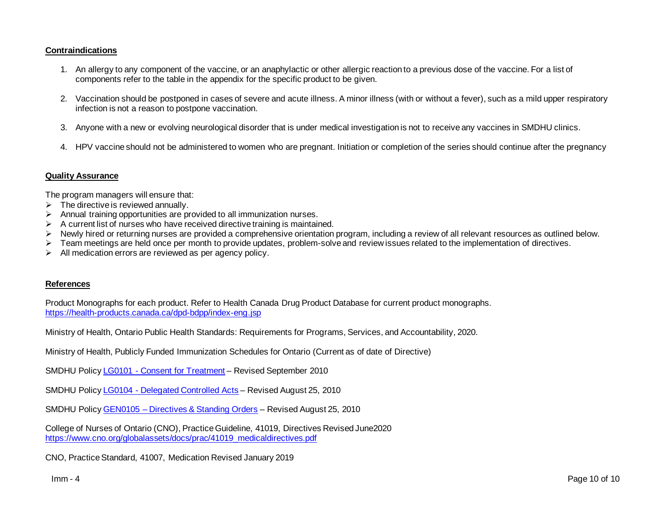## **Contraindications**

- 1. An allergy to any component of the vaccine, or an anaphylactic or other allergic reaction to a previous dose of the vaccine. For a list of components refer to the table in the appendix for the specific product to be given.
- 2. Vaccination should be postponed in cases of severe and acute illness. A minor illness (with or without a fever), such as a mild upper respiratory infection is not a reason to postpone vaccination.
- 3. Anyone with a new or evolving neurological disorder that is under medical investigation is not to receive any vaccines in SMDHU clinics.
- 4. HPV vaccine should not be administered to women who are pregnant. Initiation or completion of the series should continue after the pregnancy

#### **Quality Assurance**

The program managers will ensure that:

- $\triangleright$  The directive is reviewed annually.
- $\triangleright$  Annual training opportunities are provided to all immunization nurses.
- $\triangleright$  A current list of nurses who have received directive training is maintained.
- $\triangleright$  Newly hired or returning nurses are provided a comprehensive orientation program, including a review of all relevant resources as outlined below.
- $\triangleright$  Team meetings are held once per month to provide updates, problem-solve and review issues related to the implementation of directives.
- $\triangleright$  All medication errors are reviewed as per agency policy.

#### **References**

Product Monographs for each product. Refer to Health Canada Drug Product Database for current product monographs. <https://health-products.canada.ca/dpd-bdpp/index-eng.jsp>

Ministry of Health, Ontario Public Health Standards: Requirements for Programs, Services, and Accountability, 2020.

Ministry of Health, Publicly Funded Immunization Schedules for Ontario (Current as of date of Directive)

SMDHU Policy LG0101 - [Consent for Treatment](http://intranet.smdhu.net/docs/default-source/policy_procedure_forms/lg0101consentfortreatment.pdf?sfvrsn=2) – Revised September 2010

SMDHU Policy LG0104 - [Delegated Controlled Acts](http://intranet.smdhu.net/docs/default-source/policy_procedure_forms/LG0104DelegationOfControlledActsIntranet.pdf?sfvrsn=2) – Revised August 25, 2010

SMDHU Policy GEN0105 – Directives [& Standing Orders](http://intranet.smdhu.net/docs/default-source/policy-procedure-forms/GEN0105DirectivesStandingOrdersIntranet.pdf?sfvrsn=0) – Revised August 25, 2010

College of Nurses of Ontario (CNO), Practice Guideline, 41019, Directives Revised June2020 [https://www.cno.org/globalassets/docs/prac/41019\\_medicaldirectives.pdf](https://www.cno.org/globalassets/docs/prac/41019_medicaldirectives.pdf)

CNO, Practice Standard, 41007, Medication Revised January 2019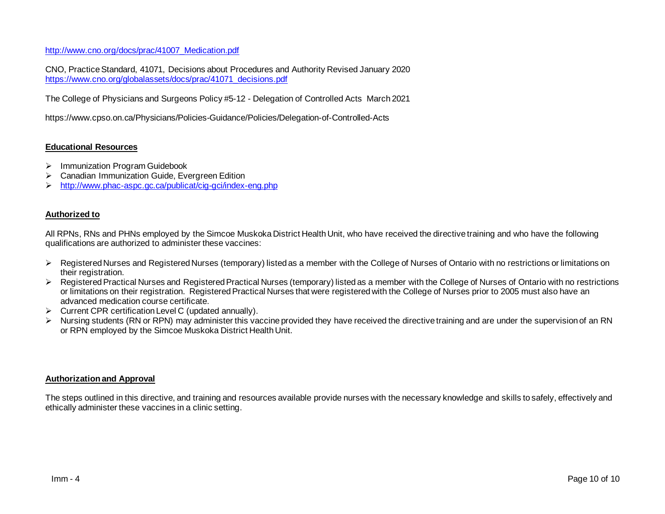[http://www.cno.org/docs/prac/41007\\_Medication.pdf](http://www.cno.org/docs/prac/41007_Medication.pdf)

CNO, Practice Standard, 41071, Decisions about Procedures and Authority Revised January 2020 [https://www.cno.org/globalassets/docs/prac/41071\\_decisions.pdf](https://www.cno.org/globalassets/docs/prac/41071_decisions.pdf)

The College of Physicians and Surgeons Policy #5-12 - Delegation of Controlled Acts March 2021

https://www.cpso.on.ca/Physicians/Policies-Guidance/Policies/Delegation-of-Controlled-Acts

## **Educational Resources**

- $\triangleright$  Immunization Program Guidebook
- Canadian Immunization Guide, Evergreen Edition
- <http://www.phac-aspc.gc.ca/publicat/cig-gci/index-eng.php>

#### **Authorized to**

All RPNs, RNs and PHNs employed by the Simcoe Muskoka District Health Unit, who have received the directive training and who have the following qualifications are authorized to administer these vaccines:

- ▶ Registered Nurses and Registered Nurses (temporary) listed as a member with the College of Nurses of Ontario with no restrictions or limitations on their registration.
- ▶ Registered Practical Nurses and Registered Practical Nurses (temporary) listed as a member with the College of Nurses of Ontario with no restrictions or limitations on their registration. Registered Practical Nurses that were registered with the College of Nurses prior to 2005 must also have an advanced medication course certificate.
- $\triangleright$  Current CPR certification Level C (updated annually).
- Nursing students (RN or RPN) may administer this vaccine provided they have received the directive training and are under the supervision of an RN or RPN employed by the Simcoe Muskoka District Health Unit.

#### **Authorization and Approval**

The steps outlined in this directive, and training and resources available provide nurses with the necessary knowledge and skills to safely, effectively and ethically administer these vaccines in a clinic setting.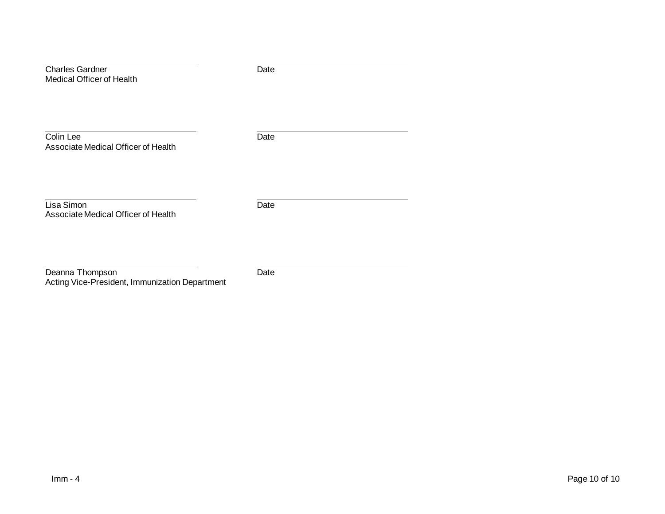| <b>Charles Gardner</b><br>Medical Officer of Health | Date |  |
|-----------------------------------------------------|------|--|
| Colin Lee<br>Associate Medical Officer of Health    | Date |  |
| Lisa Simon<br>Associate Medical Officer of Health   | Date |  |

Deanna Thompson **Date** Date **Date** Acting Vice-President, Immunization Department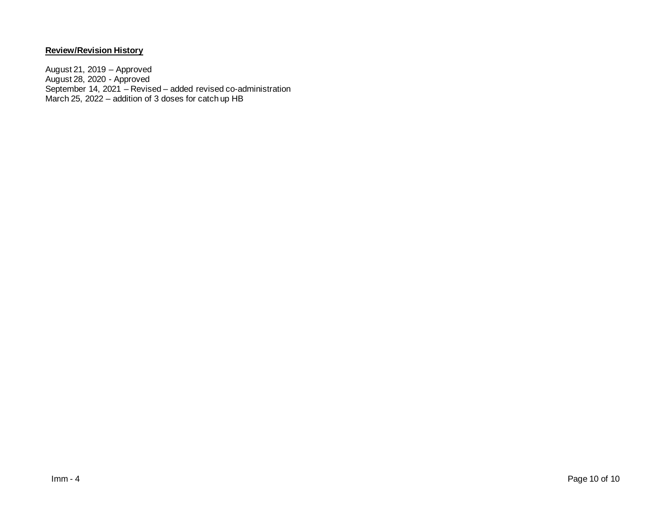# **Review/Revision History**

August 21, 2019 – Approved August 28, 2020 - Approved September 14, 2021 – Revised – added revised co-administration March 25, 2022 – addition of 3 doses for catch up HB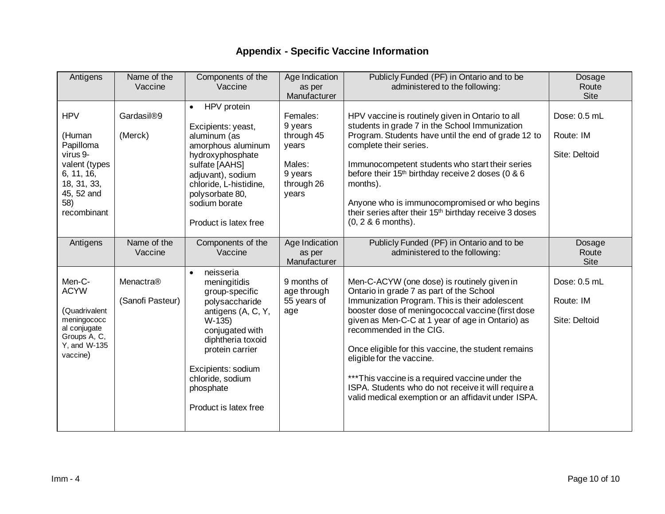# **Appendix - Specific Vaccine Information**

| Antigens                                                                                                                        | Name of the<br>Vaccine            | Components of the<br>Vaccine                                                                                                                                                                                                              | Age Indication<br>as per                                                               | Publicly Funded (PF) in Ontario and to be<br>administered to the following:                                                                                                                                                                                                                                                                                                                                                                                                                                                         | Dosage<br>Route                            |
|---------------------------------------------------------------------------------------------------------------------------------|-----------------------------------|-------------------------------------------------------------------------------------------------------------------------------------------------------------------------------------------------------------------------------------------|----------------------------------------------------------------------------------------|-------------------------------------------------------------------------------------------------------------------------------------------------------------------------------------------------------------------------------------------------------------------------------------------------------------------------------------------------------------------------------------------------------------------------------------------------------------------------------------------------------------------------------------|--------------------------------------------|
|                                                                                                                                 |                                   |                                                                                                                                                                                                                                           | Manufacturer                                                                           |                                                                                                                                                                                                                                                                                                                                                                                                                                                                                                                                     | <b>Site</b>                                |
| <b>HPV</b><br>(Human<br>Papilloma<br>virus 9-<br>valent (types<br>6, 11, 16,<br>18, 31, 33,<br>45, 52 and<br>58)<br>recombinant | Gardasil <sup>®9</sup><br>(Merck) | HPV protein<br>$\bullet$<br>Excipients: yeast,<br>aluminum (as<br>amorphous aluminum<br>hydroxyphosphate<br>sulfate [AAHS]<br>adjuvant), sodium<br>chloride, L-histidine,<br>polysorbate 80,<br>sodium borate<br>Product is latex free    | Females:<br>9 years<br>through 45<br>years<br>Males:<br>9 years<br>through 26<br>years | HPV vaccine is routinely given in Ontario to all<br>students in grade 7 in the School Immunization<br>Program. Students have until the end of grade 12 to<br>complete their series.<br>Immunocompetent students who start their series<br>before their 15 <sup>th</sup> birthday receive 2 doses (0 & 6<br>months).<br>Anyone who is immunocompromised or who begins<br>their series after their 15 <sup>th</sup> birthday receive 3 doses<br>$(0, 2, 8, 6 \text{ months}).$                                                        | Dose: 0.5 mL<br>Route: IM<br>Site: Deltoid |
| Antigens                                                                                                                        | Name of the<br>Vaccine            | Components of the<br>Vaccine                                                                                                                                                                                                              | Age Indication<br>as per<br>Manufacturer                                               | Publicly Funded (PF) in Ontario and to be<br>administered to the following:                                                                                                                                                                                                                                                                                                                                                                                                                                                         | Dosage<br>Route<br><b>Site</b>             |
| Men-C-<br><b>ACYW</b><br>(Quadrivalent<br>meningococc<br>al conjugate<br>Groups A, C,<br>Y, and W-135<br>vaccine)               | Menactra®<br>(Sanofi Pasteur)     | neisseria<br>meningitidis<br>group-specific<br>polysaccharide<br>antigens (A, C, Y,<br>$W-135$<br>conjugated with<br>diphtheria toxoid<br>protein carrier<br>Excipients: sodium<br>chloride, sodium<br>phosphate<br>Product is latex free | 9 months of<br>age through<br>55 years of<br>age                                       | Men-C-ACYW (one dose) is routinely given in<br>Ontario in grade 7 as part of the School<br>Immunization Program. This is their adolescent<br>booster dose of meningococcal vaccine (first dose<br>given as Men-C-C at 1 year of age in Ontario) as<br>recommended in the CIG.<br>Once eligible for this vaccine, the student remains<br>eligible for the vaccine.<br>*** This vaccine is a required vaccine under the<br>ISPA. Students who do not receive it will require a<br>valid medical exemption or an affidavit under ISPA. | Dose: 0.5 mL<br>Route: IM<br>Site: Deltoid |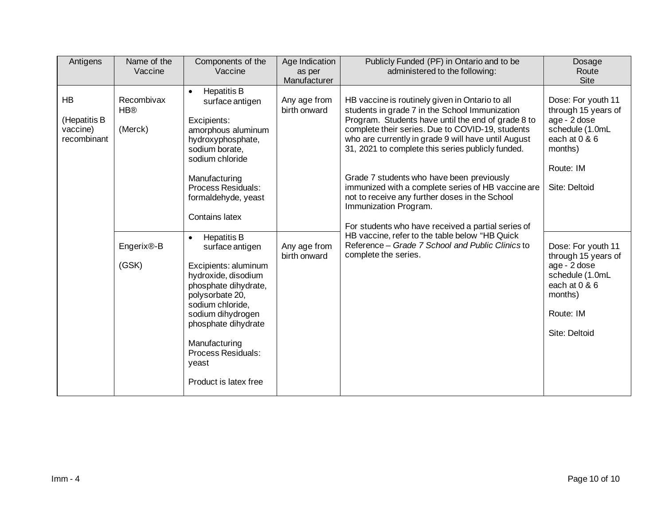| Antigens                                             | Name of the<br>Vaccine                                                 | Components of the<br>Vaccine                                                                                                                                                                                                                                                                                                                                                                                                                                                                                                      | Age Indication<br>as per<br>Manufacturer                     | Publicly Funded (PF) in Ontario and to be<br>administered to the following:                                                                                                                                                                                                                                                                                                                                                                                                                                                                                                                                                                                                               | Dosage<br>Route<br>Site                                                                                                                                                                                                                                                          |
|------------------------------------------------------|------------------------------------------------------------------------|-----------------------------------------------------------------------------------------------------------------------------------------------------------------------------------------------------------------------------------------------------------------------------------------------------------------------------------------------------------------------------------------------------------------------------------------------------------------------------------------------------------------------------------|--------------------------------------------------------------|-------------------------------------------------------------------------------------------------------------------------------------------------------------------------------------------------------------------------------------------------------------------------------------------------------------------------------------------------------------------------------------------------------------------------------------------------------------------------------------------------------------------------------------------------------------------------------------------------------------------------------------------------------------------------------------------|----------------------------------------------------------------------------------------------------------------------------------------------------------------------------------------------------------------------------------------------------------------------------------|
| <b>HB</b><br>(Hepatitis B<br>vaccine)<br>recombinant | Recombivax<br><b>HB®</b><br>(Merck)<br>Engerix <sup>®-B</sup><br>(GSK) | <b>Hepatitis B</b><br>$\bullet$<br>surface antigen<br>Excipients:<br>amorphous aluminum<br>hydroxyphosphate,<br>sodium borate,<br>sodium chloride<br>Manufacturing<br>Process Residuals:<br>formaldehyde, yeast<br><b>Contains latex</b><br><b>Hepatitis B</b><br>$\bullet$<br>surface antigen<br>Excipients: aluminum<br>hydroxide, disodium<br>phosphate dihydrate,<br>polysorbate 20,<br>sodium chloride,<br>sodium dihydrogen<br>phosphate dihydrate<br>Manufacturing<br>Process Residuals:<br>yeast<br>Product is latex free | Any age from<br>birth onward<br>Any age from<br>birth onward | HB vaccine is routinely given in Ontario to all<br>students in grade 7 in the School Immunization<br>Program. Students have until the end of grade 8 to<br>complete their series. Due to COVID-19, students<br>who are currently in grade 9 will have until August<br>31, 2021 to complete this series publicly funded.<br>Grade 7 students who have been previously<br>immunized with a complete series of HB vaccine are<br>not to receive any further doses in the School<br>Immunization Program.<br>For students who have received a partial series of<br>HB vaccine, refer to the table below "HB Quick<br>Reference - Grade 7 School and Public Clinics to<br>complete the series. | Dose: For youth 11<br>through 15 years of<br>age - 2 dose<br>schedule (1.0mL<br>each at 0 & 6<br>months)<br>Route: IM<br>Site: Deltoid<br>Dose: For youth 11<br>through 15 years of<br>age - 2 dose<br>schedule (1.0mL<br>each at 0 & 6<br>months)<br>Route: IM<br>Site: Deltoid |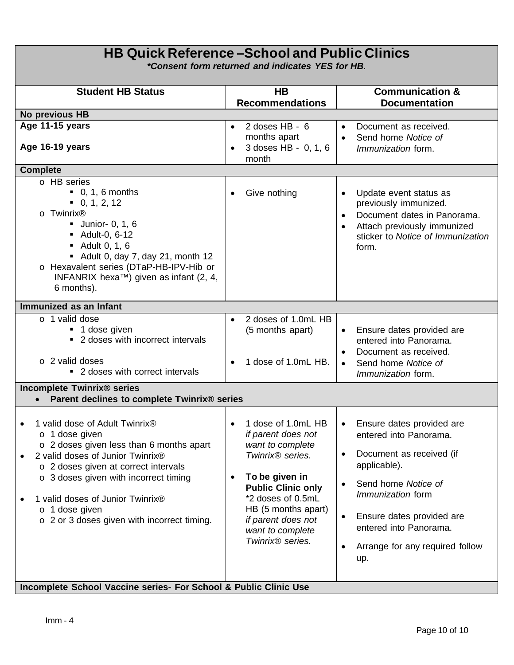| <b>HB Quick Reference – School and Public Clinics</b><br><i>*Consent form returned and indicates YES for HB.</i>                                                                                                                                                                                                                                           |                                                                                                                                                                                                                                                                                             |                                                                                                                                                                                                                                                                  |  |  |  |
|------------------------------------------------------------------------------------------------------------------------------------------------------------------------------------------------------------------------------------------------------------------------------------------------------------------------------------------------------------|---------------------------------------------------------------------------------------------------------------------------------------------------------------------------------------------------------------------------------------------------------------------------------------------|------------------------------------------------------------------------------------------------------------------------------------------------------------------------------------------------------------------------------------------------------------------|--|--|--|
| <b>Student HB Status</b>                                                                                                                                                                                                                                                                                                                                   | H <sub>B</sub><br><b>Recommendations</b>                                                                                                                                                                                                                                                    | <b>Communication &amp;</b><br><b>Documentation</b>                                                                                                                                                                                                               |  |  |  |
| No previous HB                                                                                                                                                                                                                                                                                                                                             |                                                                                                                                                                                                                                                                                             |                                                                                                                                                                                                                                                                  |  |  |  |
| Age 11-15 years<br>Age 16-19 years                                                                                                                                                                                                                                                                                                                         | 2 doses HB - 6<br>$\bullet$<br>months apart<br>3 doses HB - 0, 1, 6<br>$\bullet$<br>month                                                                                                                                                                                                   | Document as received.<br>$\bullet$<br>Send home Notice of<br>$\bullet$<br><i>Immunization</i> form.                                                                                                                                                              |  |  |  |
| <b>Complete</b>                                                                                                                                                                                                                                                                                                                                            |                                                                                                                                                                                                                                                                                             |                                                                                                                                                                                                                                                                  |  |  |  |
| o HB series<br>$\bullet$ 0, 1, 6 months<br>$\bullet$ 0, 1, 2, 12<br>Twinrix <sup>®</sup><br>$\Omega$<br>$\blacksquare$ Junior- 0, 1, 6<br>• Adult-0, 6-12<br>$\blacksquare$ Adult 0, 1, 6<br>Adult 0, day 7, day 21, month 12<br>o Hexavalent series (DTaP-HB-IPV-Hib or<br>INFANRIX hexa <sup>TM</sup> ) given as infant (2, 4,<br>6 months).             | Give nothing<br>$\bullet$                                                                                                                                                                                                                                                                   | Update event status as<br>previously immunized.<br>Document dates in Panorama.<br>Attach previously immunized<br>sticker to Notice of Immunization<br>form.                                                                                                      |  |  |  |
| Immunized as an Infant                                                                                                                                                                                                                                                                                                                                     |                                                                                                                                                                                                                                                                                             |                                                                                                                                                                                                                                                                  |  |  |  |
| o 1 valid dose<br>■ 1 dose given<br>• 2 doses with incorrect intervals<br>$\circ$ 2 valid doses<br>• 2 doses with correct intervals                                                                                                                                                                                                                        | 2 doses of 1.0mL HB<br>$\bullet$<br>(5 months apart)<br>1 dose of 1.0mL HB.<br>$\bullet$                                                                                                                                                                                                    | Ensure dates provided are<br>entered into Panorama.<br>Document as received.<br>$\bullet$<br>Send home Notice of<br>Immunization form.                                                                                                                           |  |  |  |
| <b>Incomplete Twinrix® series</b><br>Parent declines to complete Twinrix® series                                                                                                                                                                                                                                                                           |                                                                                                                                                                                                                                                                                             |                                                                                                                                                                                                                                                                  |  |  |  |
| 1 valid dose of Adult Twinrix®<br>1 dose given<br>$\circ$<br>o 2 doses given less than 6 months apart<br>2 valid doses of Junior Twinrix®<br>o 2 doses given at correct intervals<br>$\circ$ 3 doses given with incorrect timing<br>1 valid doses of Junior Twinrix <sup>®</sup><br>1 dose given<br>$\circ$<br>o 2 or 3 doses given with incorrect timing. | 1 dose of 1.0mL HB<br>$\bullet$<br>if parent does not<br>want to complete<br>Twinrix <sup>®</sup> series.<br>To be given in<br>$\bullet$<br><b>Public Clinic only</b><br>*2 doses of 0.5mL<br>HB (5 months apart)<br>if parent does not<br>want to complete<br>Twinrix <sup>®</sup> series. | Ensure dates provided are<br>entered into Panorama.<br>Document as received (if<br>$\bullet$<br>applicable).<br>Send home Notice of<br><i>Immunization</i> form<br>Ensure dates provided are<br>entered into Panorama.<br>Arrange for any required follow<br>up. |  |  |  |

# **Incomplete School Vaccine series- For School & Public Clinic Use**